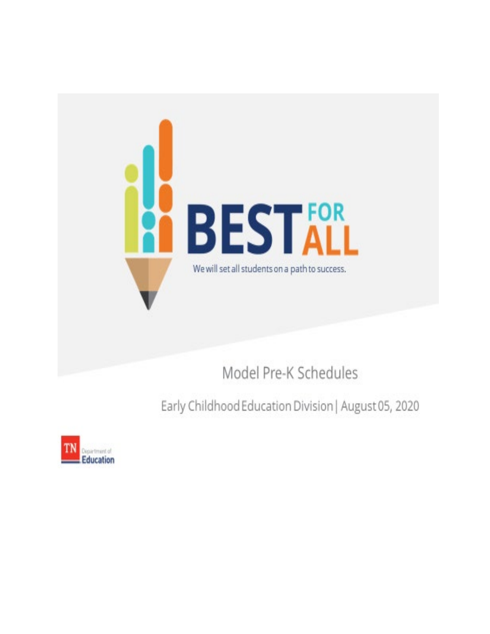

Model Pre-K Schedules

Early Childhood Education Division | August 05, 2020

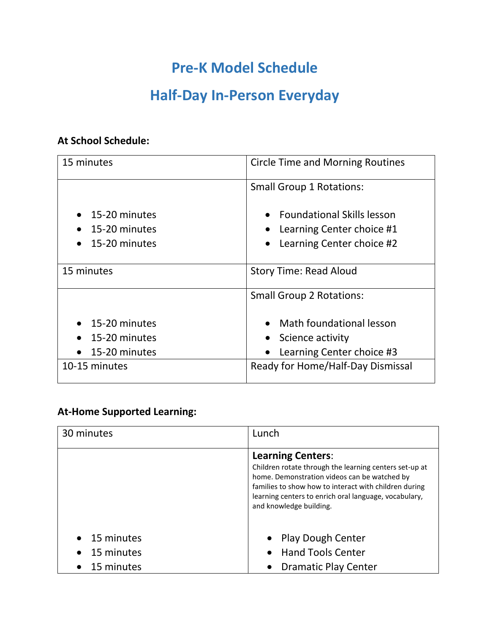## **Pre-K Model Schedule**

# **Half-Day In-Person Everyday**

### **At School Schedule:**

| 15 minutes                                                   | <b>Circle Time and Morning Routines</b>                                                |  |
|--------------------------------------------------------------|----------------------------------------------------------------------------------------|--|
|                                                              | <b>Small Group 1 Rotations:</b>                                                        |  |
| 15-20 minutes<br>15-20 minutes<br>15-20 minutes              | • Foundational Skills lesson<br>Learning Center choice #1<br>Learning Center choice #2 |  |
| 15 minutes                                                   | <b>Story Time: Read Aloud</b>                                                          |  |
|                                                              | <b>Small Group 2 Rotations:</b>                                                        |  |
| 15-20 minutes<br>15-20 minutes<br>15-20 minutes<br>$\bullet$ | • Math foundational lesson<br>Science activity<br>Learning Center choice #3            |  |
| 10-15 minutes                                                | Ready for Home/Half-Day Dismissal                                                      |  |

#### **At-Home Supported Learning:**

| 30 minutes               | Lunch                                                                                                                                                                                                                                                                           |
|--------------------------|---------------------------------------------------------------------------------------------------------------------------------------------------------------------------------------------------------------------------------------------------------------------------------|
|                          | <b>Learning Centers:</b><br>Children rotate through the learning centers set-up at<br>home. Demonstration videos can be watched by<br>families to show how to interact with children during<br>learning centers to enrich oral language, vocabulary,<br>and knowledge building. |
| 15 minutes<br>15 minutes | • Play Dough Center<br><b>Hand Tools Center</b>                                                                                                                                                                                                                                 |
| 15 minutes               | <b>Dramatic Play Center</b>                                                                                                                                                                                                                                                     |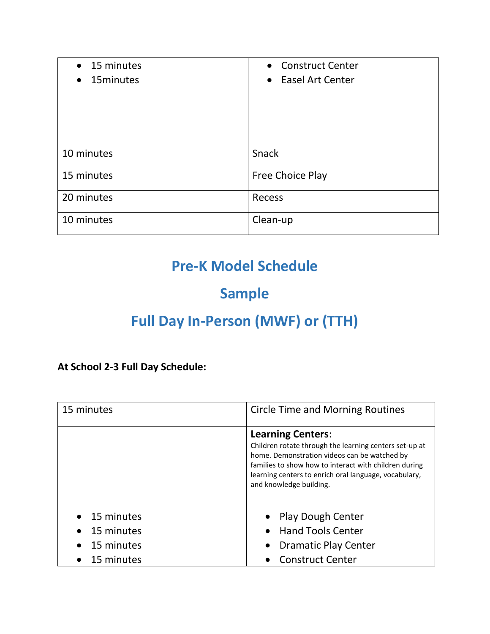| $\bullet$ 15 minutes    | • Construct Center |
|-------------------------|--------------------|
| 15 minutes<br>$\bullet$ | • Easel Art Center |
|                         |                    |
|                         |                    |
|                         |                    |
|                         |                    |
| 10 minutes              | Snack              |
|                         |                    |
| 15 minutes              | Free Choice Play   |
|                         |                    |
| 20 minutes              | Recess             |
| 10 minutes              | Clean-up           |
|                         |                    |

## **Pre-K Model Schedule**

# **Sample**

# **Full Day In-Person (MWF) or (TTH)**

**At School 2-3 Full Day Schedule:** 

| 15 minutes           | <b>Circle Time and Morning Routines</b>                                                                                                                                                                                                                                         |  |
|----------------------|---------------------------------------------------------------------------------------------------------------------------------------------------------------------------------------------------------------------------------------------------------------------------------|--|
|                      | <b>Learning Centers:</b><br>Children rotate through the learning centers set-up at<br>home. Demonstration videos can be watched by<br>families to show how to interact with children during<br>learning centers to enrich oral language, vocabulary,<br>and knowledge building. |  |
| $\bullet$ 15 minutes | • Play Dough Center                                                                                                                                                                                                                                                             |  |
| 15 minutes           | <b>Hand Tools Center</b>                                                                                                                                                                                                                                                        |  |
| 15 minutes           | <b>Dramatic Play Center</b><br>$\bullet$                                                                                                                                                                                                                                        |  |
| 15 minutes           | <b>Construct Center</b>                                                                                                                                                                                                                                                         |  |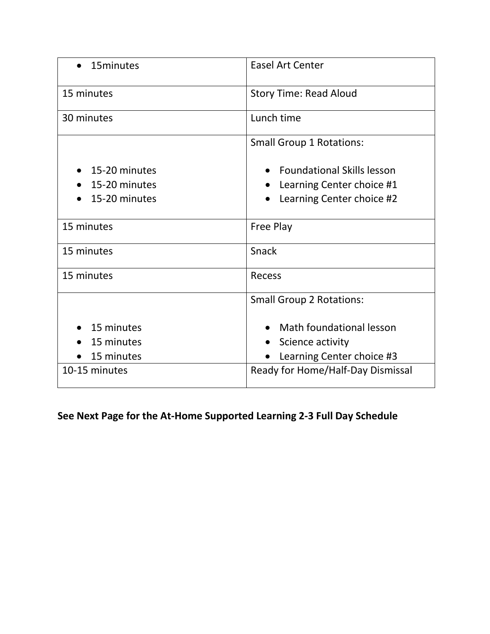| 15minutes     | <b>Easel Art Center</b>           |  |
|---------------|-----------------------------------|--|
| 15 minutes    | <b>Story Time: Read Aloud</b>     |  |
| 30 minutes    | Lunch time                        |  |
|               | <b>Small Group 1 Rotations:</b>   |  |
| 15-20 minutes | <b>Foundational Skills lesson</b> |  |
| 15-20 minutes | Learning Center choice #1         |  |
| 15-20 minutes | Learning Center choice #2         |  |
| 15 minutes    | <b>Free Play</b>                  |  |
| 15 minutes    | Snack                             |  |
| 15 minutes    | <b>Recess</b>                     |  |
|               | <b>Small Group 2 Rotations:</b>   |  |
| 15 minutes    | Math foundational lesson          |  |
| 15 minutes    | Science activity                  |  |
| 15 minutes    | Learning Center choice #3         |  |
| 10-15 minutes | Ready for Home/Half-Day Dismissal |  |

**See Next Page for the At-Home Supported Learning 2-3 Full Day Schedule**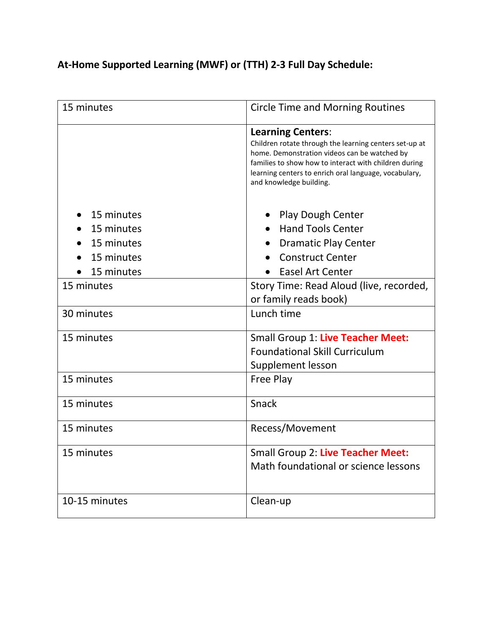## **At-Home Supported Learning (MWF) or (TTH) 2-3 Full Day Schedule:**

| 15 minutes                                                         | <b>Circle Time and Morning Routines</b>                                                                                                                                                                                                                                         |  |
|--------------------------------------------------------------------|---------------------------------------------------------------------------------------------------------------------------------------------------------------------------------------------------------------------------------------------------------------------------------|--|
|                                                                    | <b>Learning Centers:</b><br>Children rotate through the learning centers set-up at<br>home. Demonstration videos can be watched by<br>families to show how to interact with children during<br>learning centers to enrich oral language, vocabulary,<br>and knowledge building. |  |
| 15 minutes<br>15 minutes<br>15 minutes<br>15 minutes<br>15 minutes | Play Dough Center<br><b>Hand Tools Center</b><br><b>Dramatic Play Center</b><br><b>Construct Center</b><br><b>Easel Art Center</b><br>$\bullet$                                                                                                                                 |  |
| 15 minutes                                                         | Story Time: Read Aloud (live, recorded,<br>or family reads book)                                                                                                                                                                                                                |  |
| 30 minutes                                                         | Lunch time                                                                                                                                                                                                                                                                      |  |
| 15 minutes                                                         | Small Group 1: Live Teacher Meet:<br><b>Foundational Skill Curriculum</b><br>Supplement lesson                                                                                                                                                                                  |  |
| 15 minutes                                                         | Free Play                                                                                                                                                                                                                                                                       |  |
| 15 minutes                                                         | Snack                                                                                                                                                                                                                                                                           |  |
| 15 minutes                                                         | Recess/Movement                                                                                                                                                                                                                                                                 |  |
| 15 minutes                                                         | Small Group 2: Live Teacher Meet:<br>Math foundational or science lessons                                                                                                                                                                                                       |  |
| 10-15 minutes                                                      | Clean-up                                                                                                                                                                                                                                                                        |  |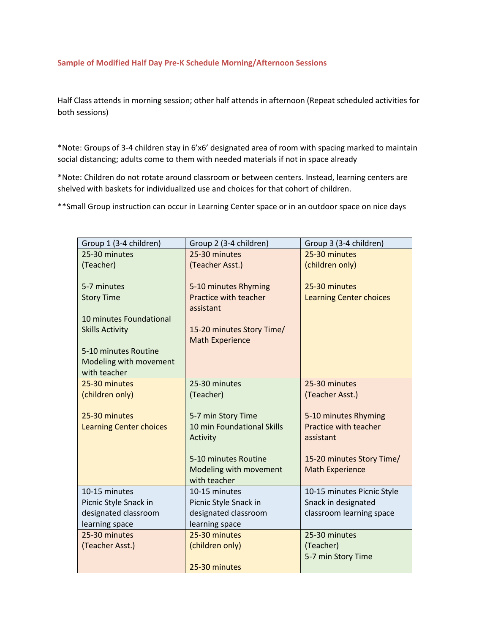#### **Sample of Modified Half Day Pre-K Schedule Morning/Afternoon Sessions**

Half Class attends in morning session; other half attends in afternoon (Repeat scheduled activities for both sessions)

 \*Note: Groups of 3-4 children stay in 6'x6' designated area of room with spacing marked to maintain social distancing; adults come to them with needed materials if not in space already

 shelved with baskets for individualized use and choices for that cohort of children. \*Note: Children do not rotate around classroom or between centers. Instead, learning centers are

\*\*Small Group instruction can occur in Learning Center space or in an outdoor space on nice days

| Group 1 (3-4 children)         | Group 2 (3-4 children)     | Group 3 (3-4 children)         |
|--------------------------------|----------------------------|--------------------------------|
| 25-30 minutes                  | 25-30 minutes              | 25-30 minutes                  |
| (Teacher)                      | (Teacher Asst.)            | (children only)                |
|                                |                            |                                |
| 5-7 minutes                    | 5-10 minutes Rhyming       | 25-30 minutes                  |
| <b>Story Time</b>              | Practice with teacher      | <b>Learning Center choices</b> |
|                                | assistant                  |                                |
| 10 minutes Foundational        |                            |                                |
| <b>Skills Activity</b>         | 15-20 minutes Story Time/  |                                |
|                                | <b>Math Experience</b>     |                                |
| 5-10 minutes Routine           |                            |                                |
| Modeling with movement         |                            |                                |
| with teacher                   |                            |                                |
| 25-30 minutes                  | 25-30 minutes              | 25-30 minutes                  |
| (children only)                | (Teacher)                  | (Teacher Asst.)                |
| 25-30 minutes                  | 5-7 min Story Time         | 5-10 minutes Rhyming           |
| <b>Learning Center choices</b> | 10 min Foundational Skills | Practice with teacher          |
|                                | Activity                   | assistant                      |
|                                |                            |                                |
|                                | 5-10 minutes Routine       | 15-20 minutes Story Time/      |
|                                | Modeling with movement     | <b>Math Experience</b>         |
|                                | with teacher               |                                |
| 10-15 minutes                  | 10-15 minutes              | 10-15 minutes Picnic Style     |
| Picnic Style Snack in          | Picnic Style Snack in      | Snack in designated            |
| designated classroom           | designated classroom       | classroom learning space       |
| learning space                 | learning space             |                                |
| 25-30 minutes                  | 25-30 minutes              | 25-30 minutes                  |
| (Teacher Asst.)                | (children only)            | (Teacher)                      |
|                                |                            | 5-7 min Story Time             |
|                                | 25-30 minutes              |                                |